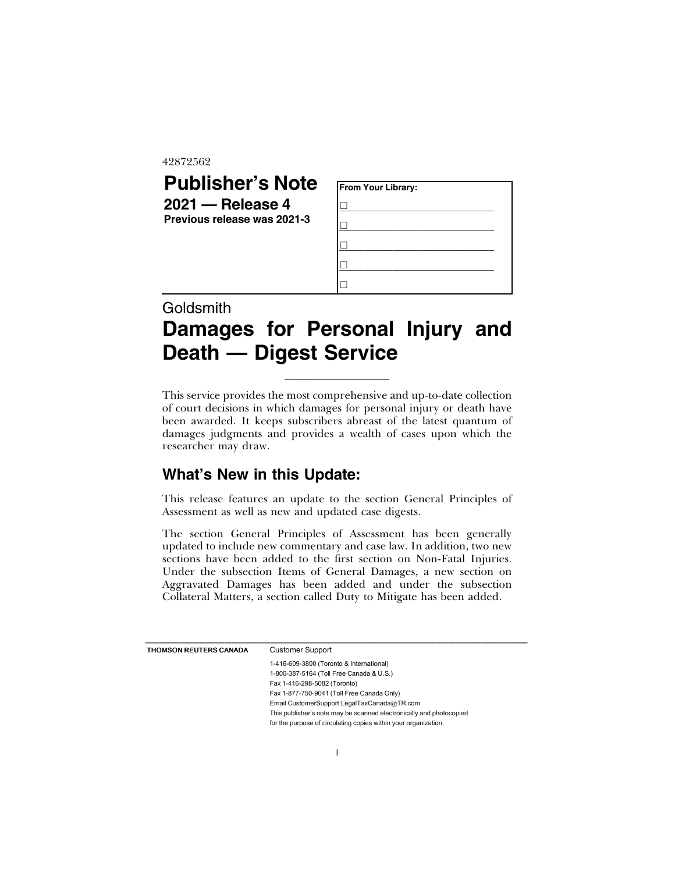42872562

## **Publisher's Note 2021 — Release 4 Previous release was 2021-3**

| From Your Library: |  |  |
|--------------------|--|--|
|                    |  |  |
|                    |  |  |
|                    |  |  |
|                    |  |  |
|                    |  |  |

# **Goldsmith Damages for Personal Injury and Death — Digest Service**

\_\_\_\_\_\_\_\_\_\_\_\_\_\_\_\_\_\_\_

This service provides the most comprehensive and up-to-date collection of court decisions in which damages for personal injury or death have been awarded. It keeps subscribers abreast of the latest quantum of damages judgments and provides a wealth of cases upon which the researcher may draw.

### **What's New in this Update:**

This release features an update to the section General Principles of Assessment as well as new and updated case digests.

The section General Principles of Assessment has been generally updated to include new commentary and case law. In addition, two new sections have been added to the first section on Non-Fatal Injuries. Under the subsection Items of General Damages, a new section on Aggravated Damages has been added and under the subsection Collateral Matters, a section called Duty to Mitigate has been added.

| <b>THOMSON REUTERS CANADA</b> | <b>Customer Support</b>                                             |
|-------------------------------|---------------------------------------------------------------------|
|                               | 1-416-609-3800 (Toronto & International)                            |
|                               | 1-800-387-5164 (Toll Free Canada & U.S.)                            |
|                               | Fax 1-416-298-5082 (Toronto)                                        |
|                               | Fax 1-877-750-9041 (Toll Free Canada Only)                          |
|                               | Email CustomerSupport.LegalTaxCanada@TR.com                         |
|                               | This publisher's note may be scanned electronically and photocopied |
|                               | for the purpose of circulating copies within your organization.     |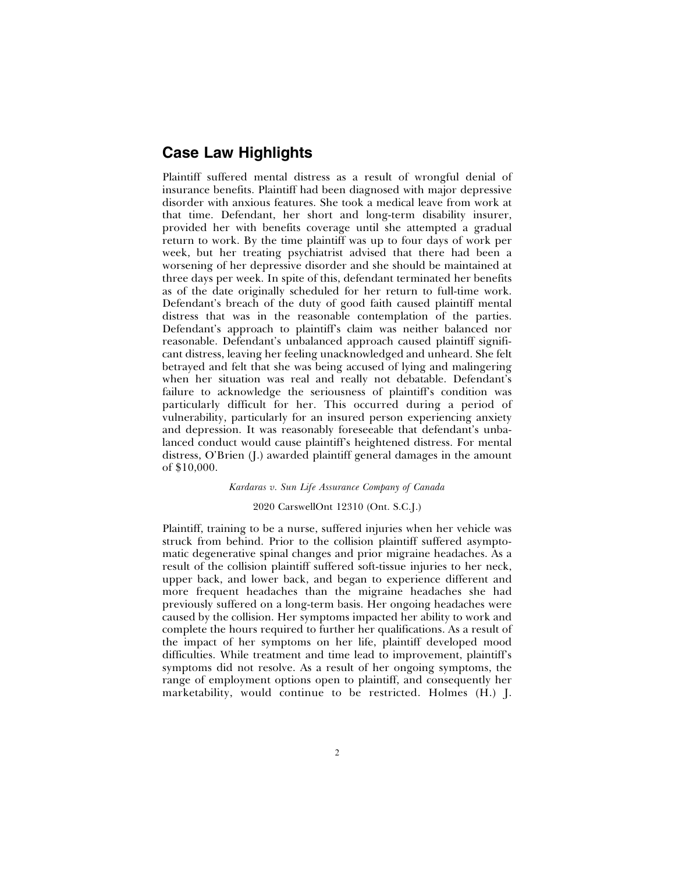#### **Case Law Highlights**

Plaintiff suffered mental distress as a result of wrongful denial of insurance benefits. Plaintiff had been diagnosed with major depressive disorder with anxious features. She took a medical leave from work at that time. Defendant, her short and long-term disability insurer, provided her with benefits coverage until she attempted a gradual return to work. By the time plaintiff was up to four days of work per week, but her treating psychiatrist advised that there had been a worsening of her depressive disorder and she should be maintained at three days per week. In spite of this, defendant terminated her benefits as of the date originally scheduled for her return to full-time work. Defendant's breach of the duty of good faith caused plaintiff mental distress that was in the reasonable contemplation of the parties. Defendant's approach to plaintiff's claim was neither balanced nor reasonable. Defendant's unbalanced approach caused plaintiff significant distress, leaving her feeling unacknowledged and unheard. She felt betrayed and felt that she was being accused of lying and malingering when her situation was real and really not debatable. Defendant's failure to acknowledge the seriousness of plaintiff's condition was particularly difficult for her. This occurred during a period of vulnerability, particularly for an insured person experiencing anxiety and depression. It was reasonably foreseeable that defendant's unbalanced conduct would cause plaintiff's heightened distress. For mental distress, O'Brien (J.) awarded plaintiff general damages in the amount of \$10,000.

*Kardaras v. Sun Life Assurance Company of Canada*

#### 2020 CarswellOnt 12310 (Ont. S.C.J.)

Plaintiff, training to be a nurse, suffered injuries when her vehicle was struck from behind. Prior to the collision plaintiff suffered asymptomatic degenerative spinal changes and prior migraine headaches. As a result of the collision plaintiff suffered soft-tissue injuries to her neck, upper back, and lower back, and began to experience different and more frequent headaches than the migraine headaches she had previously suffered on a long-term basis. Her ongoing headaches were caused by the collision. Her symptoms impacted her ability to work and complete the hours required to further her qualifications. As a result of the impact of her symptoms on her life, plaintiff developed mood difficulties. While treatment and time lead to improvement, plaintiff's symptoms did not resolve. As a result of her ongoing symptoms, the range of employment options open to plaintiff, and consequently her marketability, would continue to be restricted. Holmes (H.) J.